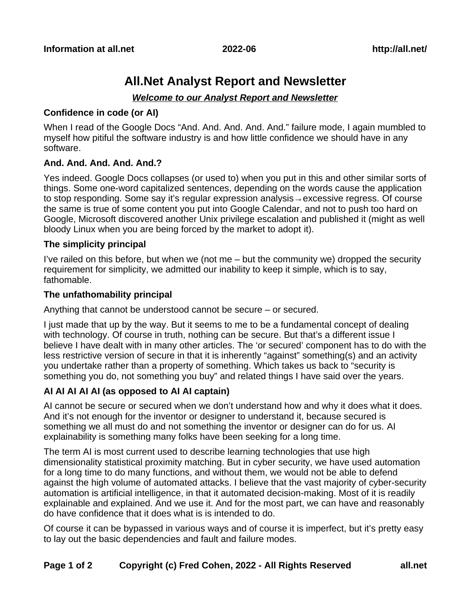# **All.Net Analyst Report and Newsletter**

# *Welcome to our Analyst Report and Newsletter*

## **Confidence in code (or AI)**

When I read of the Google Docs "And. And. And. And. And." failure mode, I again mumbled to myself how pitiful the software industry is and how little confidence we should have in any software.

# **And. And. And. And. And.?**

Yes indeed. Google Docs collapses (or used to) when you put in this and other similar sorts of things. Some one-word capitalized sentences, depending on the words cause the application to stop responding. Some say it's regular expression analysis→excessive regress. Of course the same is true of some content you put into Google Calendar, and not to push too hard on Google, Microsoft discovered another Unix privilege escalation and published it (might as well bloody Linux when you are being forced by the market to adopt it).

## **The simplicity principal**

I've railed on this before, but when we (not me – but the community we) dropped the security requirement for simplicity, we admitted our inability to keep it simple, which is to say, fathomable.

# **The unfathomability principal**

Anything that cannot be understood cannot be secure – or secured.

I just made that up by the way. But it seems to me to be a fundamental concept of dealing with technology. Of course in truth, nothing can be secure. But that's a different issue I believe I have dealt with in many other articles. The 'or secured' component has to do with the less restrictive version of secure in that it is inherently "against" something(s) and an activity you undertake rather than a property of something. Which takes us back to "security is something you do, not something you buy" and related things I have said over the years.

# **AI AI AI AI AI (as opposed to AI AI captain)**

AI cannot be secure or secured when we don't understand how and why it does what it does. And it's not enough for the inventor or designer to understand it, because secured is something we all must do and not something the inventor or designer can do for us. AI explainability is something many folks have been seeking for a long time.

The term AI is most current used to describe learning technologies that use high dimensionality statistical proximity matching. But in cyber security, we have used automation for a long time to do many functions, and without them, we would not be able to defend against the high volume of automated attacks. I believe that the vast majority of cyber-security automation is artificial intelligence, in that it automated decision-making. Most of it is readily explainable and explained. And we use it. And for the most part, we can have and reasonably do have confidence that it does what is is intended to do.

Of course it can be bypassed in various ways and of course it is imperfect, but it's pretty easy to lay out the basic dependencies and fault and failure modes.